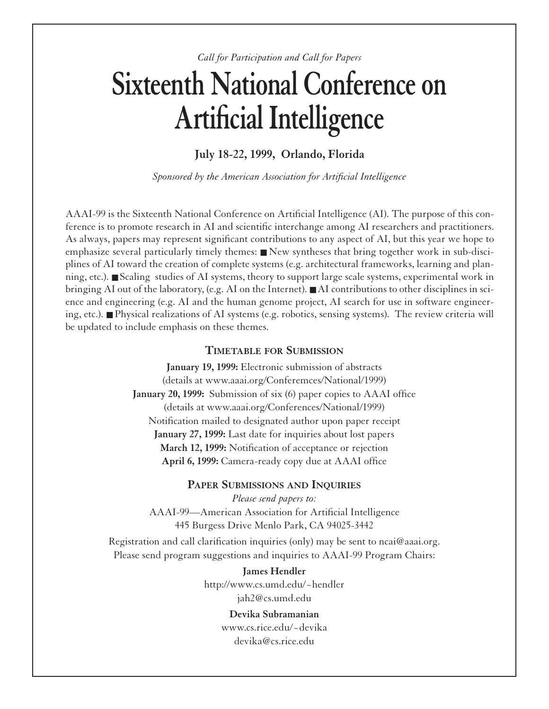*Call for Participation and Call for Papers*

# **Sixteenth National Conference on Artificial Intelligence**

**July 18-22, 1999, Orlando, Florida** 

*Sponsored by the American Association for Artificial Intelligence*

AAAI-99 is the Sixteenth National Conference on Artificial Intelligence (AI). The purpose of this conference is to promote research in AI and scientific interchange among AI researchers and practitioners. As always, papers may represent significant contributions to any aspect of AI, but this year we hope to emphasize several particularly timely themes: ■ New syntheses that bring together work in sub-disciplines of AI toward the creation of complete systems (e.g. architectural frameworks, learning and planning, etc.). ■ Scaling studies of AI systems, theory to support large scale systems, experimental work in bringing AI out of the laboratory, (e.g. AI on the Internet). ■ AI contributions to other disciplines in science and engineering (e.g. AI and the human genome project, AI search for use in software engineering, etc.). ■ Physical realizations of AI systems (e.g. robotics, sensing systems). The review criteria will be updated to include emphasis on these themes.

# **TIMETABLE FOR SUBMISSION**

**January 19, 1999:** Electronic submission of abstracts (details at www.aaai.org/Conferemces/National/1999) **January 20, 1999:** Submission of six (6) paper copies to AAAI office (details at www.aaai.org/Conferences/National/1999) Notification mailed to designated author upon paper receipt **January 27, 1999:** Last date for inquiries about lost papers **March 12, 1999:** Notification of acceptance or rejection **April 6, 1999:** Camera-ready copy due at AAAI office

# **PAPER SUBMISSIONS AND INQUIRIES**

*Please send papers to:* AAAI-99—American Association for Artificial Intelligence 445 Burgess Drive Menlo Park, CA 94025-3442

Registration and call clarification inquiries (only) may be sent to ncai@aaai.org. Please send program suggestions and inquiries to AAAI-99 Program Chairs:

> **James Hendler** http://www.cs.umd.edu/~hendler jah2@cs.umd.edu

> > **Devika Subramanian** www.cs.rice.edu/~devika devika@cs.rice.edu